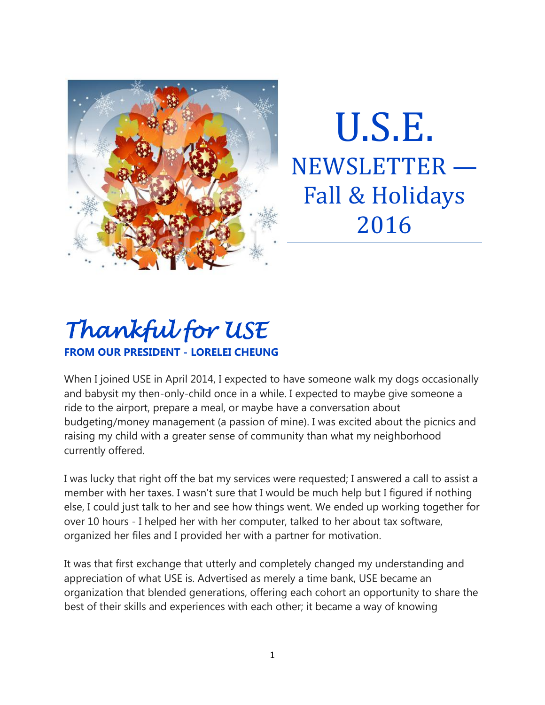

U.S.E. NEWSLETTER — Fall & Holidays 2016

# *Thankful for USE*  **FROM OUR PRESIDENT - LORELEI CHEUNG**

When I joined USE in April 2014, I expected to have someone walk my dogs occasionally and babysit my then-only-child once in a while. I expected to maybe give someone a ride to the airport, prepare a meal, or maybe have a conversation about budgeting/money management (a passion of mine). I was excited about the picnics and raising my child with a greater sense of community than what my neighborhood currently offered.

I was lucky that right off the bat my services were requested; I answered a call to assist a member with her taxes. I wasn't sure that I would be much help but I figured if nothing else, I could just talk to her and see how things went. We ended up working together for over 10 hours - I helped her with her computer, talked to her about tax software, organized her files and I provided her with a partner for motivation.

It was that first exchange that utterly and completely changed my understanding and appreciation of what USE is. Advertised as merely a time bank, USE became an organization that blended generations, offering each cohort an opportunity to share the best of their skills and experiences with each other; it became a way of knowing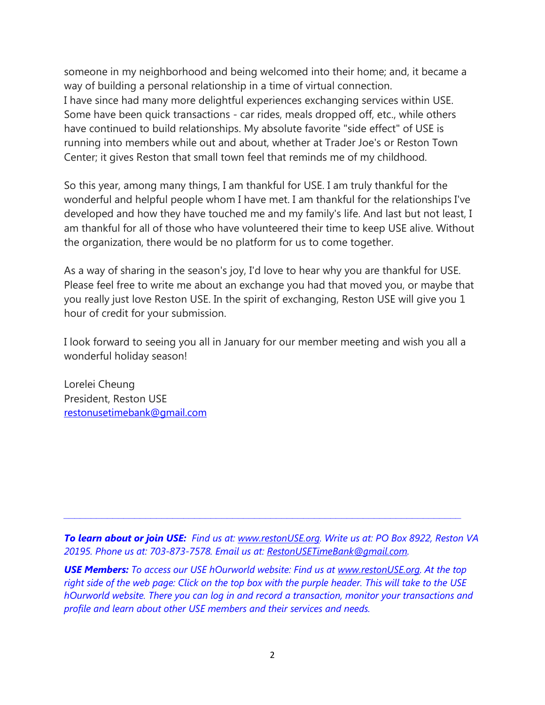someone in my neighborhood and being welcomed into their home; and, it became a way of building a personal relationship in a time of virtual connection. I have since had many more delightful experiences exchanging services within USE. Some have been quick transactions - car rides, meals dropped off, etc., while others have continued to build relationships. My absolute favorite "side effect" of USE is running into members while out and about, whether at Trader Joe's or Reston Town Center; it gives Reston that small town feel that reminds me of my childhood.

So this year, among many things, I am thankful for USE. I am truly thankful for the wonderful and helpful people whom I have met. I am thankful for the relationships I've developed and how they have touched me and my family's life. And last but not least, I am thankful for all of those who have volunteered their time to keep USE alive. Without the organization, there would be no platform for us to come together.

As a way of sharing in the season's joy, I'd love to hear why you are thankful for USE. Please feel free to write me about an exchange you had that moved you, or maybe that you really just love Reston USE. In the spirit of exchanging, Reston USE will give you 1 hour of credit for your submission.

I look forward to seeing you all in January for our member meeting and wish you all a wonderful holiday season!

Lorelei Cheung President, Reston USE [restonusetimebank@gmail.com](mailto:restonusetimebank@gmail.com)

*To learn about or join USE: Find us at: [www.restonUSE.org.](http://www.restonuse.org/) Write us at: PO Box 8922, Reston VA 20195. Phone us at: 703-873-7578. Email us at: [RestonUSETimeBank@gmail.com.](mailto:RestonUSETimeBank@gmail.com)*

*\_\_\_\_\_\_\_\_\_\_\_\_\_\_\_\_\_\_\_\_\_\_\_\_\_\_\_\_\_\_\_\_\_\_\_\_\_\_\_\_\_\_\_\_\_\_\_\_\_\_\_\_\_\_\_\_\_\_\_\_\_\_\_\_\_\_\_\_\_\_\_\_\_*

*USE Members: To access our USE hOurworld website: Find us at [www.restonUSE.org.](http://www.restonuse.org/) At the top right side of the web page: Click on the top box with the purple header. This will take to the USE hOurworld website. There you can log in and record a transaction, monitor your transactions and profile and learn about other USE members and their services and needs.*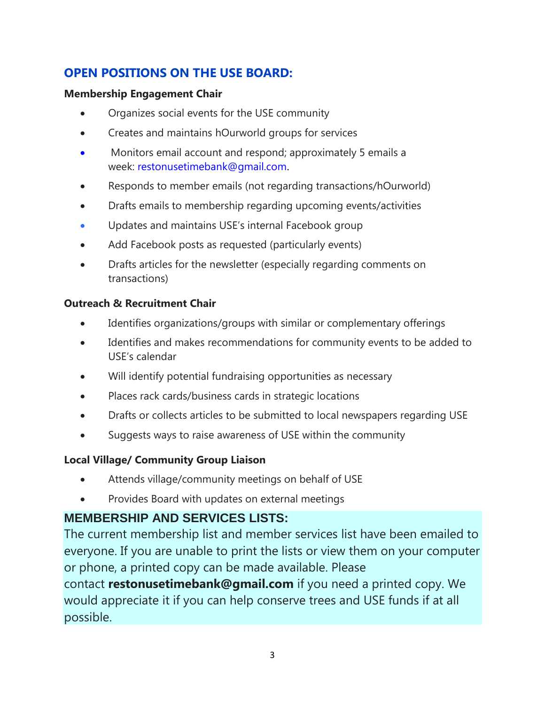### **OPEN POSITIONS ON THE USE BOARD:**

#### **Membership Engagement Chair**

- Organizes social events for the USE community
- Creates and maintains hOurworld groups for services
- Monitors email account and respond; approximately 5 emails a week: [restonusetimebank@gmail.com](mailto:restonusetimebank@gmail.com).
- Responds to member emails (not regarding transactions/hOurworld)
- Drafts emails to membership regarding upcoming events/activities
- Updates and maintains USE's internal Facebook group
- Add Facebook posts as requested (particularly events)
- Drafts articles for the newsletter (especially regarding comments on transactions)

### **Outreach & Recruitment Chair**

- Identifies organizations/groups with similar or complementary offerings
- Identifies and makes recommendations for community events to be added to USE's calendar
- Will identify potential fundraising opportunities as necessary
- Places rack cards/business cards in strategic locations
- Drafts or collects articles to be submitted to local newspapers regarding USE
- Suggests ways to raise awareness of USE within the community

### **Local Village/ Community Group Liaison**

- Attends village/community meetings on behalf of USE
- Provides Board with updates on external meetings

### **MEMBERSHIP AND SERVICES LISTS:**

The current membership list and member services list have been emailed to everyone. If you are unable to print the lists or view them on your computer or phone, a printed copy can be made available. Please

contact **restonusetimebank@gmail.com** if you need a printed copy. We would appreciate it if you can help conserve trees and USE funds if at all possible.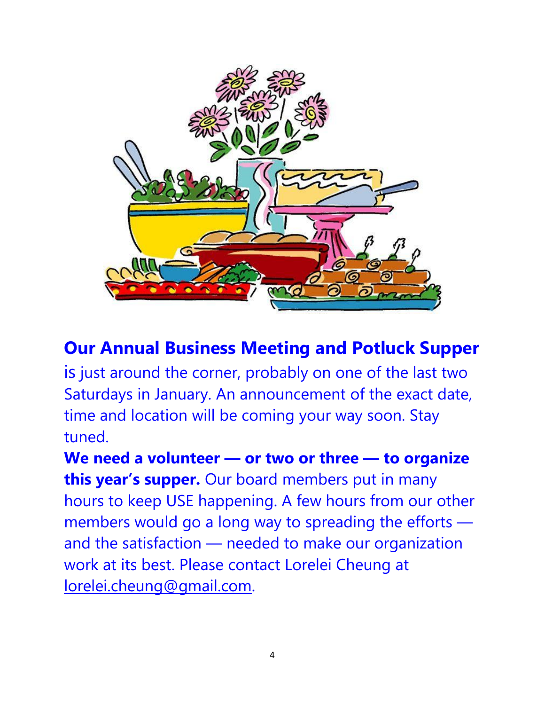

# **Our Annual Business Meeting and Potluck Supper**

is just around the corner, probably on one of the last two Saturdays in January. An announcement of the exact date, time and location will be coming your way soon. Stay tuned.

**We need a volunteer — or two or three — to organize this year's supper.** Our board members put in many hours to keep USE happening. A few hours from our other members would go a long way to spreading the efforts and the satisfaction — needed to make our organization work at its best. Please contact Lorelei Cheung at [lorelei.cheung@gmail.com.](mailto:lorelei.cheung@gmail.com)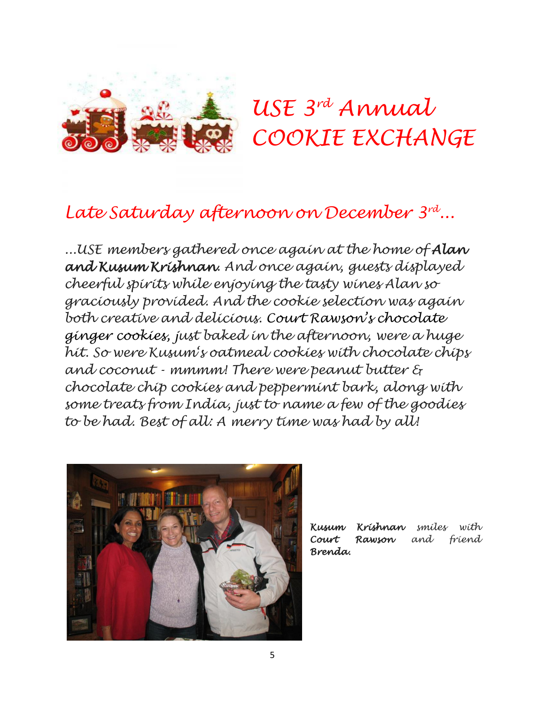

# *USE 3 rd Annual COOKIE EXCHANGE*

# *Late Saturday afternoon on December 3rd ...*

*...USE members gathered once again at the home of Alan and Kusum Krishnan. And once again, guests displayed cheerful spirits while enjoying the tasty wines Alan so graciously provided. And the cookie selection was again both creative and delicious. Court Rawson's chocolate ginger cookies, just baked in the afternoon, were a huge hit. So were Kusum's oatmeal cookies with chocolate chips and coconut - mmmm! There were peanut butter & chocolate chip cookies and peppermint bark, along with some treats from India, just to name a few of the goodies to be had. Best of all: A merry time was had by all!*



*Kusum Krishnan smiles with Court Rawson and friend Brenda.*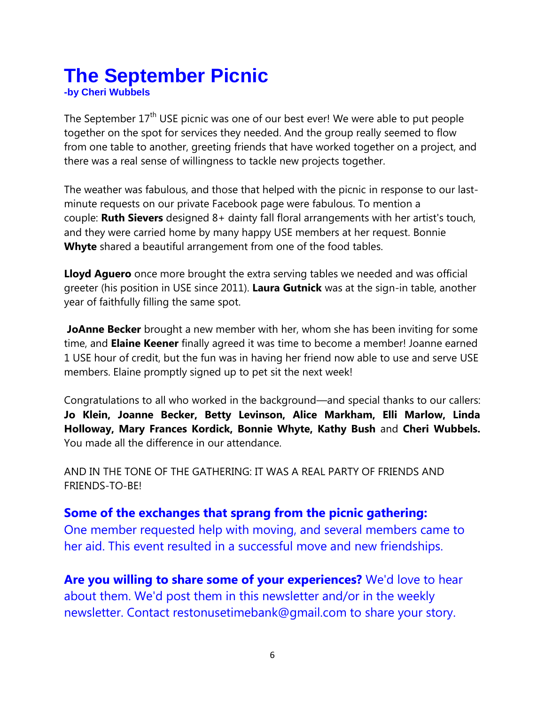# **The September Picnic**

**-by Cheri Wubbels**

The September 17<sup>th</sup> USE picnic was one of our best ever! We were able to put people together on the spot for services they needed. And the group really seemed to flow from one table to another, greeting friends that have worked together on a project, and there was a real sense of willingness to tackle new projects together.

The weather was fabulous, and those that helped with the picnic in response to our lastminute requests on our private Facebook page were fabulous. To mention a couple: **Ruth Sievers** designed 8+ dainty fall floral arrangements with her artist's touch, and they were carried home by many happy USE members at her request. Bonnie **Whyte** shared a beautiful arrangement from one of the food tables.

**Lloyd Aguero** once more brought the extra serving tables we needed and was official greeter (his position in USE since 2011). **Laura Gutnick** was at the sign-in table, another year of faithfully filling the same spot.

**JoAnne Becker** brought a new member with her, whom she has been inviting for some time, and **Elaine Keener** finally agreed it was time to become a member! Joanne earned 1 USE hour of credit, but the fun was in having her friend now able to use and serve USE members. Elaine promptly signed up to pet sit the next week!

Congratulations to all who worked in the background—and special thanks to our callers: **Jo Klein, Joanne Becker, Betty Levinson, Alice Markham, Elli Marlow, Linda Holloway, Mary Frances Kordick, Bonnie Whyte, Kathy Bush** and **Cheri Wubbels.** You made all the difference in our attendance.

AND IN THE TONE OF THE GATHERING: IT WAS A REAL PARTY OF FRIENDS AND FRIENDS-TO-BE!

### **Some of the exchanges that sprang from the picnic gathering:**

One member requested help with moving, and several members came to her aid. This event resulted in a successful move and new friendships.

**Are you willing to share some of your experiences?** We'd love to hear about them. We'd post them in this newsletter and/or in the weekly newsletter. Contact restonusetimebank@gmail.com to share your story.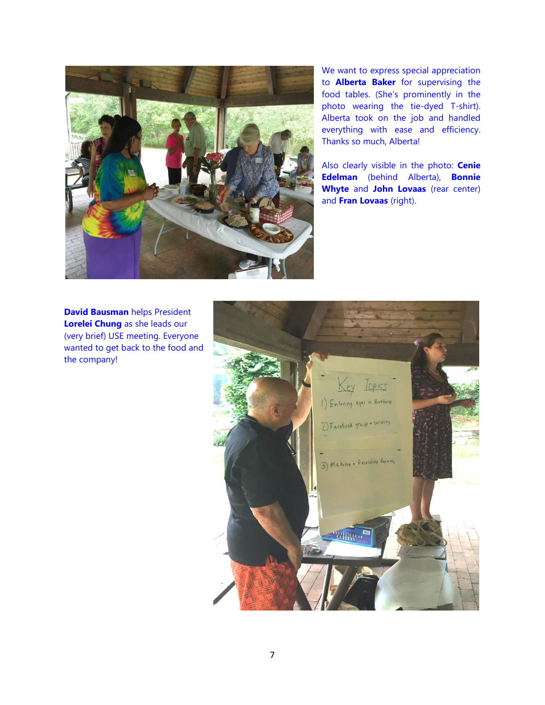

We want to express special appreciation to **Alberta Baker** for supervising the food tables. (She's prominently in the photo wearing the tie-dyed T-shirt). Alberta took on the job and handled everything with ease and efficiency. Thanks so much, Alberta!

Also clearly visible in the photo: **Cenie Edelman** (behind Alberta), **Bonnie Whyte** and **John Lovaas** (rear center) and **Fran Lovaas** (right).

**David Bausman** helps President **Lorelei Chung** as she leads our (very brief) USE meeting. Everyone wanted to get back to the food and the company!

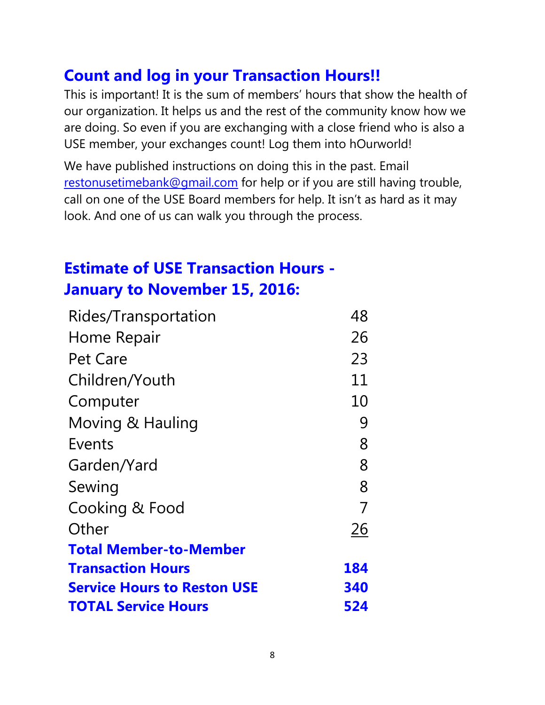### **Count and log in your Transaction Hours!!**

This is important! It is the sum of members' hours that show the health of our organization. It helps us and the rest of the community know how we are doing. So even if you are exchanging with a close friend who is also a USE member, your exchanges count! Log them into hOurworld!

We have published instructions on doing this in the past. Email [restonusetimebank@gmail.com](mailto:restonusetimebank@gmail.com) for help or if you are still having trouble, call on one of the USE Board members for help. It isn't as hard as it may look. And one of us can walk you through the process.

## **Estimate of USE Transaction Hours - January to November 15, 2016:**

| Rides/Transportation               | 48  |
|------------------------------------|-----|
| Home Repair                        | 26  |
| Pet Care                           | 23  |
| Children/Youth                     | 11  |
| Computer                           | 10  |
| Moving & Hauling                   | 9   |
| Events                             | 8   |
| Garden/Yard                        | 8   |
| Sewing                             | 8   |
| Cooking & Food                     | 7   |
| Other                              | 26  |
| <b>Total Member-to-Member</b>      |     |
| <b>Transaction Hours</b>           | 184 |
| <b>Service Hours to Reston USE</b> | 340 |
| <b>TOTAL Service Hours</b>         | 524 |